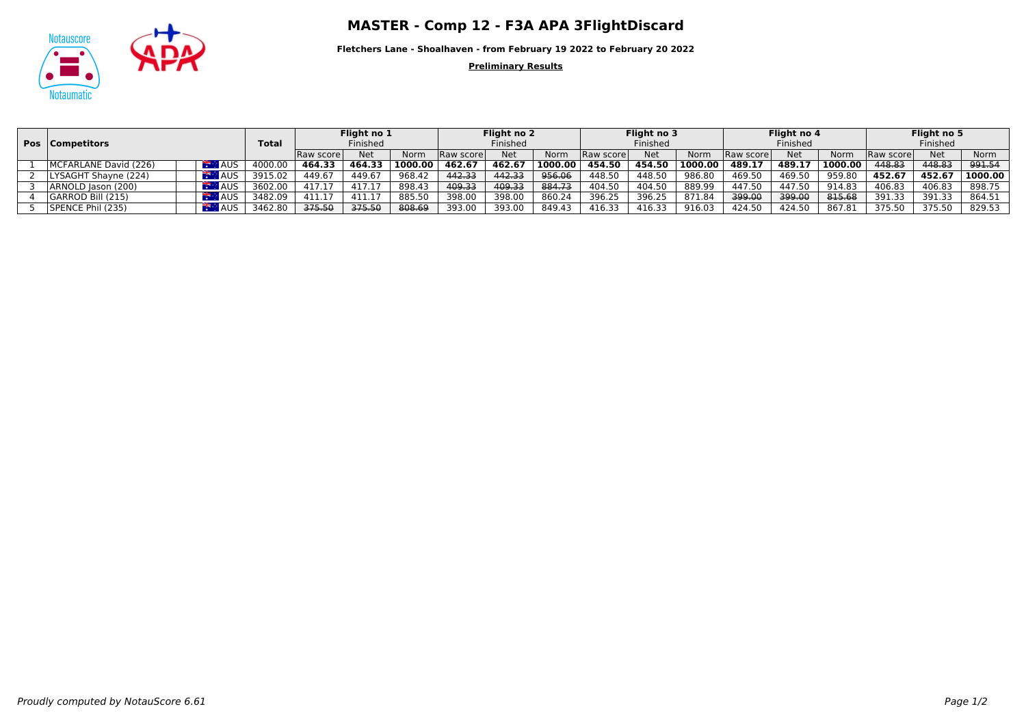



**Fletchers Lane - Shoalhaven - from February 19 2022 to February 20 2022**

**Preliminary Results**

|                       |            |         | Flight no 1       |            |         | Flight no 2       |            |         | Flight no 3 |            |         | Flight no 4       |            |         | Flight no 5 |        |         |
|-----------------------|------------|---------|-------------------|------------|---------|-------------------|------------|---------|-------------|------------|---------|-------------------|------------|---------|-------------|--------|---------|
| Competitors<br>Pos    |            |         | Finished          |            |         | Finished          |            |         | Finished    |            |         | Finished          |            |         | Finished    |        |         |
|                       |            |         | <b>Raw scorel</b> | <b>Net</b> | Norm    | <b>Raw scorel</b> | <b>Net</b> | Norm    | Raw score   | <b>Net</b> | Norm    | <b>Raw scorel</b> | <b>Net</b> | Norm    | Raw scorel  | Net    | Norm    |
| MCFARLANE David (226) | <b>AUS</b> | 4000.0  | 464.33            | 464.33     | 1000.00 | 462.67            | 462.67     | 1000.00 | 454.50      | 454.50     | 1000.00 | 489.17            | 489.17     | 1000.00 | 448.83      | 448.83 | 991.54  |
| LYSAGHT Shayne (224)  | <b>AUS</b> | 3915.02 | 449.67            | 449.67     | 968.42  | 442.33            | 442.33     | 956.06  | 448.50      | 448.50     | 986.80  | 469.50            | 469.50     | 959.80  | 452.67      | 452.67 | 1000.00 |
| ARNOLD Jason (200)    | <b>AUS</b> | 3602.00 | 417.17            | 417.17     | 898.43  | 409.33            | 409.33     | 884.73  | 404.50      | 404.50     | 889.99  | 447.50            | 447.50     | 914.83  | 406.83      | 406.83 | 898.75  |
| l GARROD Bill (215)   | <b>AUS</b> | 3482.09 | 411.17            | 411.17     | 885.50  | 398.00            | 398.00     | 860.24  | 396.25      | 396.25     | 871.84  | 399.00            | 399.00     | 815.68  | 391.33      | 391.33 | 864.51  |
| SPENCE Phil (235)     | <b>AUS</b> | 3462.80 | 375.50            | 375.50     | 808.69  | 393.00            | 393.00     | 849.43  | 416.33      | 416.33     | 916.03  | 424.50            | 424.50     | 867.81  | 375.50      | 375.50 | 829.53  |